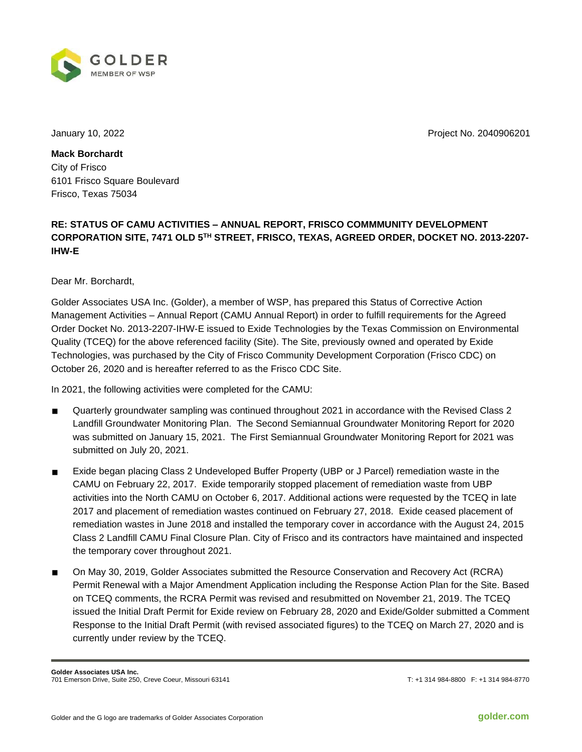

January 10, 2022 Project No. 2040906201

**Mack Borchardt** City of Frisco 6101 Frisco Square Boulevard Frisco, Texas 75034

## **RE: STATUS OF CAMU ACTIVITIES – ANNUAL REPORT, FRISCO COMMMUNITY DEVELOPMENT CORPORATION SITE, 7471 OLD 5TH STREET, FRISCO, TEXAS, AGREED ORDER, DOCKET NO. 2013-2207- IHW-E**

Dear Mr. Borchardt,

Golder Associates USA Inc. (Golder), a member of WSP, has prepared this Status of Corrective Action Management Activities – Annual Report (CAMU Annual Report) in order to fulfill requirements for the Agreed Order Docket No. 2013-2207-IHW-E issued to Exide Technologies by the Texas Commission on Environmental Quality (TCEQ) for the above referenced facility (Site). The Site, previously owned and operated by Exide Technologies, was purchased by the City of Frisco Community Development Corporation (Frisco CDC) on October 26, 2020 and is hereafter referred to as the Frisco CDC Site.

In 2021, the following activities were completed for the CAMU:

- Quarterly groundwater sampling was continued throughout 2021 in accordance with the Revised Class 2 Landfill Groundwater Monitoring Plan. The Second Semiannual Groundwater Monitoring Report for 2020 was submitted on January 15, 2021. The First Semiannual Groundwater Monitoring Report for 2021 was submitted on July 20, 2021.
- Exide began placing Class 2 Undeveloped Buffer Property (UBP or J Parcel) remediation waste in the CAMU on February 22, 2017. Exide temporarily stopped placement of remediation waste from UBP activities into the North CAMU on October 6, 2017. Additional actions were requested by the TCEQ in late 2017 and placement of remediation wastes continued on February 27, 2018. Exide ceased placement of remediation wastes in June 2018 and installed the temporary cover in accordance with the August 24, 2015 Class 2 Landfill CAMU Final Closure Plan. City of Frisco and its contractors have maintained and inspected the temporary cover throughout 2021.
- On May 30, 2019, Golder Associates submitted the Resource Conservation and Recovery Act (RCRA) Permit Renewal with a Major Amendment Application including the Response Action Plan for the Site. Based on TCEQ comments, the RCRA Permit was revised and resubmitted on November 21, 2019. The TCEQ issued the Initial Draft Permit for Exide review on February 28, 2020 and Exide/Golder submitted a Comment Response to the Initial Draft Permit (with revised associated figures) to the TCEQ on March 27, 2020 and is currently under review by the TCEQ.